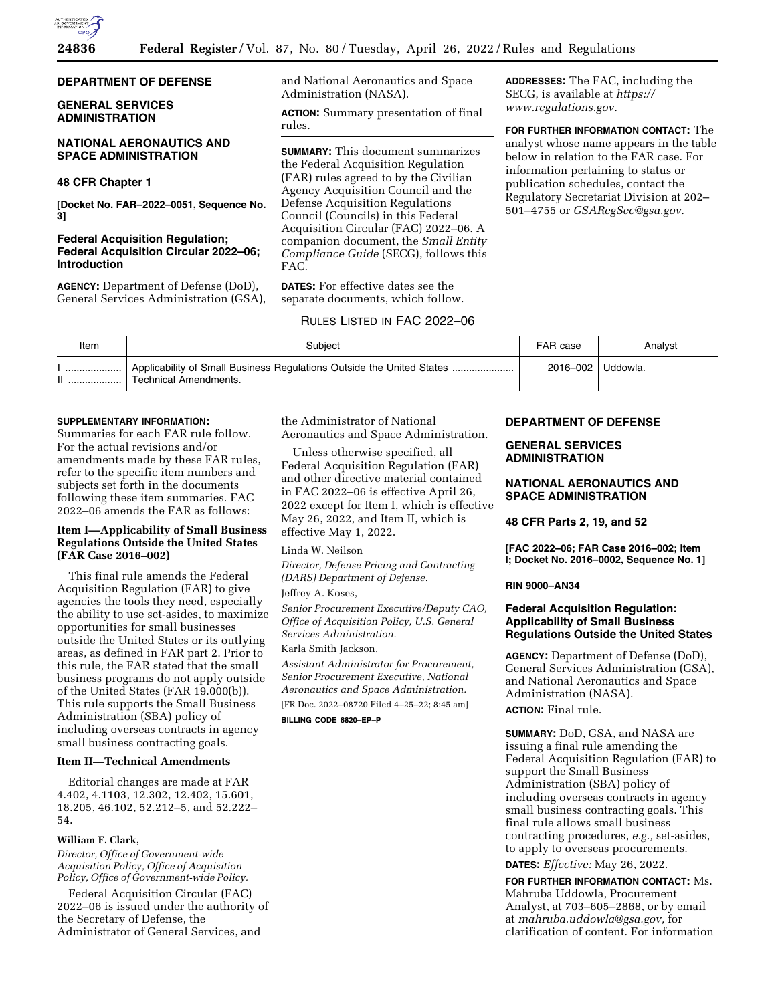

# **DEPARTMENT OF DEFENSE**

# **GENERAL SERVICES ADMINISTRATION**

# **NATIONAL AERONAUTICS AND SPACE ADMINISTRATION**

## **48 CFR Chapter 1**

**[Docket No. FAR–2022–0051, Sequence No. 3]** 

## **Federal Acquisition Regulation; Federal Acquisition Circular 2022–06; Introduction**

**AGENCY:** Department of Defense (DoD), General Services Administration (GSA), and National Aeronautics and Space Administration (NASA).

**ACTION:** Summary presentation of final rules.

**SUMMARY:** This document summarizes the Federal Acquisition Regulation (FAR) rules agreed to by the Civilian Agency Acquisition Council and the Defense Acquisition Regulations Council (Councils) in this Federal Acquisition Circular (FAC) 2022–06. A companion document, the *Small Entity Compliance Guide* (SECG), follows this FAC.

**DATES:** For effective dates see the separate documents, which follow.

# RULES LISTED IN FAC 2022–06

**ADDRESSES:** The FAC, including the SECG, is available at *[https://](https://www.regulations.gov) [www.regulations.gov.](https://www.regulations.gov)* 

**FOR FURTHER INFORMATION CONTACT:** The analyst whose name appears in the table below in relation to the FAR case. For information pertaining to status or publication schedules, contact the Regulatory Secretariat Division at 202– 501–4755 or *[GSARegSec@gsa.gov.](mailto:GSARegSec@gsa.gov)* 

| Item | Subiect                                                                                               | FAR case            | Analyst |
|------|-------------------------------------------------------------------------------------------------------|---------------------|---------|
|      | Applicability of Small Business Regulations Outside the United States<br><b>Technical Amendments.</b> | 2016-002   Uddowla. |         |

#### **SUPPLEMENTARY INFORMATION:**

Summaries for each FAR rule follow. For the actual revisions and/or amendments made by these FAR rules, refer to the specific item numbers and subjects set forth in the documents following these item summaries. FAC 2022–06 amends the FAR as follows:

## **Item I—Applicability of Small Business Regulations Outside the United States (FAR Case 2016–002)**

This final rule amends the Federal Acquisition Regulation (FAR) to give agencies the tools they need, especially the ability to use set-asides, to maximize opportunities for small businesses outside the United States or its outlying areas, as defined in FAR part 2. Prior to this rule, the FAR stated that the small business programs do not apply outside of the United States (FAR 19.000(b)). This rule supports the Small Business Administration (SBA) policy of including overseas contracts in agency small business contracting goals.

### **Item II—Technical Amendments**

Editorial changes are made at FAR 4.402, 4.1103, 12.302, 12.402, 15.601, 18.205, 46.102, 52.212–5, and 52.222– 54.

# **William F. Clark,**

*Director, Office of Government-wide Acquisition Policy, Office of Acquisition Policy, Office of Government-wide Policy.* 

Federal Acquisition Circular (FAC) 2022–06 is issued under the authority of the Secretary of Defense, the Administrator of General Services, and

the Administrator of National Aeronautics and Space Administration.

Unless otherwise specified, all Federal Acquisition Regulation (FAR) and other directive material contained in FAC 2022–06 is effective April 26, 2022 except for Item I, which is effective May 26, 2022, and Item II, which is effective May 1, 2022.

## Linda W. Neilson

*Director, Defense Pricing and Contracting (DARS) Department of Defense.* 

### Jeffrey A. Koses,

*Senior Procurement Executive/Deputy CAO, Office of Acquisition Policy, U.S. General Services Administration.* 

## Karla Smith Jackson,

*Assistant Administrator for Procurement, Senior Procurement Executive, National Aeronautics and Space Administration.*  [FR Doc. 2022–08720 Filed 4–25–22; 8:45 am] **BILLING CODE 6820–EP–P** 

## **DEPARTMENT OF DEFENSE**

# **GENERAL SERVICES ADMINISTRATION**

## **NATIONAL AERONAUTICS AND SPACE ADMINISTRATION**

**48 CFR Parts 2, 19, and 52** 

**[FAC 2022–06; FAR Case 2016–002; Item I; Docket No. 2016–0002, Sequence No. 1]** 

#### **RIN 9000–AN34**

# **Federal Acquisition Regulation: Applicability of Small Business Regulations Outside the United States**

**AGENCY:** Department of Defense (DoD), General Services Administration (GSA), and National Aeronautics and Space Administration (NASA).

# **ACTION:** Final rule.

**SUMMARY:** DoD, GSA, and NASA are issuing a final rule amending the Federal Acquisition Regulation (FAR) to support the Small Business Administration (SBA) policy of including overseas contracts in agency small business contracting goals. This final rule allows small business contracting procedures, *e.g.,* set-asides, to apply to overseas procurements.

**DATES:** *Effective:* May 26, 2022.

**FOR FURTHER INFORMATION CONTACT:** Ms. Mahruba Uddowla, Procurement Analyst, at 703–605–2868, or by email at *[mahruba.uddowla@gsa.gov,](mailto:mahruba.uddowla@gsa.gov)* for clarification of content. For information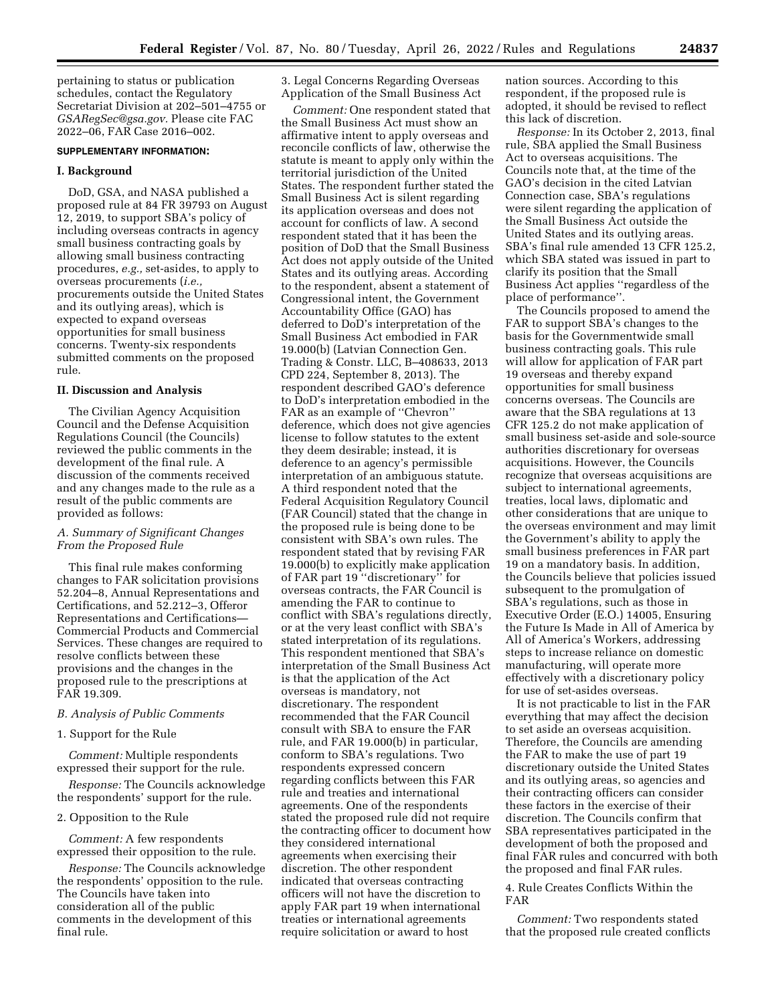pertaining to status or publication schedules, contact the Regulatory Secretariat Division at 202–501–4755 or *[GSARegSec@gsa.gov.](mailto:GSARegSec@gsa.gov)* Please cite FAC 2022–06, FAR Case 2016–002.

#### **SUPPLEMENTARY INFORMATION:**

#### **I. Background**

DoD, GSA, and NASA published a proposed rule at 84 FR 39793 on August 12, 2019, to support SBA's policy of including overseas contracts in agency small business contracting goals by allowing small business contracting procedures, *e.g.,* set-asides, to apply to overseas procurements (*i.e.,*  procurements outside the United States and its outlying areas), which is expected to expand overseas opportunities for small business concerns. Twenty-six respondents submitted comments on the proposed rule.

### **II. Discussion and Analysis**

The Civilian Agency Acquisition Council and the Defense Acquisition Regulations Council (the Councils) reviewed the public comments in the development of the final rule. A discussion of the comments received and any changes made to the rule as a result of the public comments are provided as follows:

## *A. Summary of Significant Changes From the Proposed Rule*

This final rule makes conforming changes to FAR solicitation provisions 52.204–8, Annual Representations and Certifications, and 52.212–3, Offeror Representations and Certifications— Commercial Products and Commercial Services. These changes are required to resolve conflicts between these provisions and the changes in the proposed rule to the prescriptions at FAR 19.309.

#### *B. Analysis of Public Comments*

#### 1. Support for the Rule

*Comment:* Multiple respondents expressed their support for the rule.

*Response:* The Councils acknowledge the respondents' support for the rule.

#### 2. Opposition to the Rule

*Comment:* A few respondents expressed their opposition to the rule.

*Response:* The Councils acknowledge the respondents' opposition to the rule. The Councils have taken into consideration all of the public comments in the development of this final rule.

3. Legal Concerns Regarding Overseas Application of the Small Business Act

*Comment:* One respondent stated that the Small Business Act must show an affirmative intent to apply overseas and reconcile conflicts of law, otherwise the statute is meant to apply only within the territorial jurisdiction of the United States. The respondent further stated the Small Business Act is silent regarding its application overseas and does not account for conflicts of law. A second respondent stated that it has been the position of DoD that the Small Business Act does not apply outside of the United States and its outlying areas. According to the respondent, absent a statement of Congressional intent, the Government Accountability Office (GAO) has deferred to DoD's interpretation of the Small Business Act embodied in FAR 19.000(b) (Latvian Connection Gen. Trading & Constr. LLC, B–408633, 2013 CPD 224, September 8, 2013). The respondent described GAO's deference to DoD's interpretation embodied in the FAR as an example of ''Chevron'' deference, which does not give agencies license to follow statutes to the extent they deem desirable; instead, it is deference to an agency's permissible interpretation of an ambiguous statute. A third respondent noted that the Federal Acquisition Regulatory Council (FAR Council) stated that the change in the proposed rule is being done to be consistent with SBA's own rules. The respondent stated that by revising FAR 19.000(b) to explicitly make application of FAR part 19 ''discretionary'' for overseas contracts, the FAR Council is amending the FAR to continue to conflict with SBA's regulations directly, or at the very least conflict with SBA's stated interpretation of its regulations. This respondent mentioned that SBA's interpretation of the Small Business Act is that the application of the Act overseas is mandatory, not discretionary. The respondent recommended that the FAR Council consult with SBA to ensure the FAR rule, and FAR 19.000(b) in particular, conform to SBA's regulations. Two respondents expressed concern regarding conflicts between this FAR rule and treaties and international agreements. One of the respondents stated the proposed rule did not require the contracting officer to document how they considered international agreements when exercising their discretion. The other respondent indicated that overseas contracting officers will not have the discretion to apply FAR part 19 when international treaties or international agreements require solicitation or award to host

nation sources. According to this respondent, if the proposed rule is adopted, it should be revised to reflect this lack of discretion.

*Response:* In its October 2, 2013, final rule, SBA applied the Small Business Act to overseas acquisitions. The Councils note that, at the time of the GAO's decision in the cited Latvian Connection case, SBA's regulations were silent regarding the application of the Small Business Act outside the United States and its outlying areas. SBA's final rule amended 13 CFR 125.2, which SBA stated was issued in part to clarify its position that the Small Business Act applies ''regardless of the place of performance''.

The Councils proposed to amend the FAR to support SBA's changes to the basis for the Governmentwide small business contracting goals. This rule will allow for application of FAR part 19 overseas and thereby expand opportunities for small business concerns overseas. The Councils are aware that the SBA regulations at 13 CFR 125.2 do not make application of small business set-aside and sole-source authorities discretionary for overseas acquisitions. However, the Councils recognize that overseas acquisitions are subject to international agreements, treaties, local laws, diplomatic and other considerations that are unique to the overseas environment and may limit the Government's ability to apply the small business preferences in FAR part 19 on a mandatory basis. In addition, the Councils believe that policies issued subsequent to the promulgation of SBA's regulations, such as those in Executive Order (E.O.) 14005, Ensuring the Future Is Made in All of America by All of America's Workers, addressing steps to increase reliance on domestic manufacturing, will operate more effectively with a discretionary policy for use of set-asides overseas.

It is not practicable to list in the FAR everything that may affect the decision to set aside an overseas acquisition. Therefore, the Councils are amending the FAR to make the use of part 19 discretionary outside the United States and its outlying areas, so agencies and their contracting officers can consider these factors in the exercise of their discretion. The Councils confirm that SBA representatives participated in the development of both the proposed and final FAR rules and concurred with both the proposed and final FAR rules.

4. Rule Creates Conflicts Within the FAR

*Comment:* Two respondents stated that the proposed rule created conflicts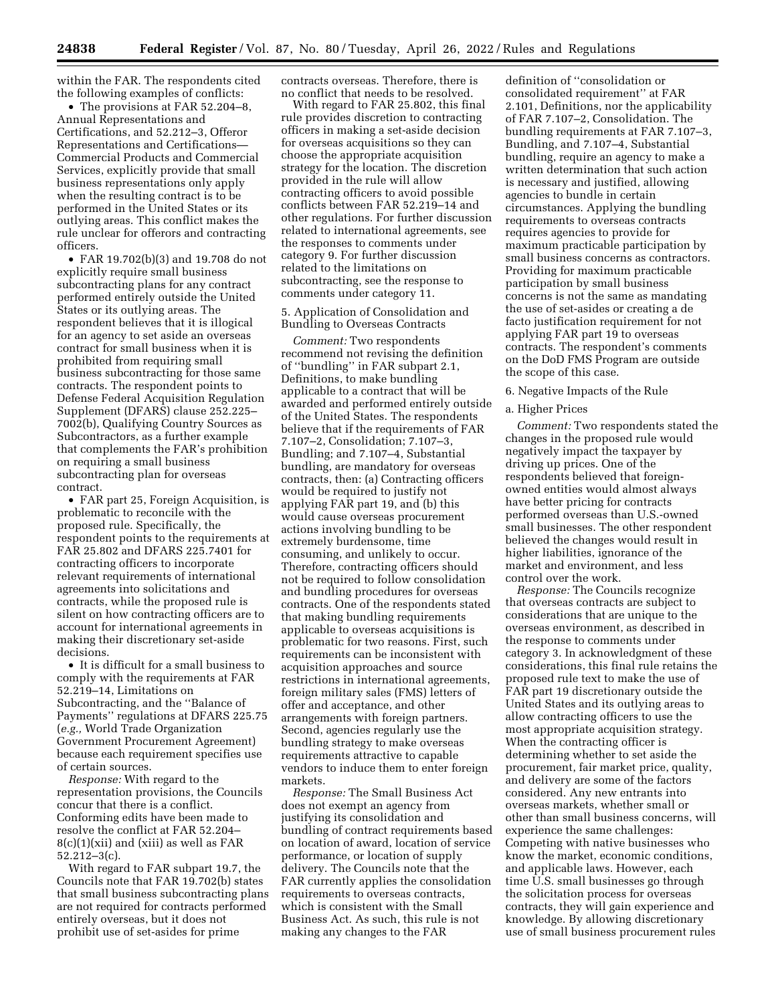within the FAR. The respondents cited the following examples of conflicts:

• The provisions at FAR 52.204–8, Annual Representations and Certifications, and 52.212–3, Offeror Representations and Certifications— Commercial Products and Commercial Services, explicitly provide that small business representations only apply when the resulting contract is to be performed in the United States or its outlying areas. This conflict makes the rule unclear for offerors and contracting officers.

• FAR 19.702(b)(3) and 19.708 do not explicitly require small business subcontracting plans for any contract performed entirely outside the United States or its outlying areas. The respondent believes that it is illogical for an agency to set aside an overseas contract for small business when it is prohibited from requiring small business subcontracting for those same contracts. The respondent points to Defense Federal Acquisition Regulation Supplement (DFARS) clause 252.225– 7002(b), Qualifying Country Sources as Subcontractors, as a further example that complements the FAR's prohibition on requiring a small business subcontracting plan for overseas contract.

• FAR part 25, Foreign Acquisition, is problematic to reconcile with the proposed rule. Specifically, the respondent points to the requirements at FAR 25.802 and DFARS 225.7401 for contracting officers to incorporate relevant requirements of international agreements into solicitations and contracts, while the proposed rule is silent on how contracting officers are to account for international agreements in making their discretionary set-aside decisions.

• It is difficult for a small business to comply with the requirements at FAR 52.219–14, Limitations on Subcontracting, and the ''Balance of Payments'' regulations at DFARS 225.75 (*e.g.,* World Trade Organization Government Procurement Agreement) because each requirement specifies use of certain sources.

*Response:* With regard to the representation provisions, the Councils concur that there is a conflict. Conforming edits have been made to resolve the conflict at FAR 52.204–  $8(c)(1)(xii)$  and (xiii) as well as FAR 52.212–3(c).

With regard to FAR subpart 19.7, the Councils note that FAR 19.702(b) states that small business subcontracting plans are not required for contracts performed entirely overseas, but it does not prohibit use of set-asides for prime

contracts overseas. Therefore, there is no conflict that needs to be resolved.

With regard to FAR 25.802, this final rule provides discretion to contracting officers in making a set-aside decision for overseas acquisitions so they can choose the appropriate acquisition strategy for the location. The discretion provided in the rule will allow contracting officers to avoid possible conflicts between FAR 52.219–14 and other regulations. For further discussion related to international agreements, see the responses to comments under category 9. For further discussion related to the limitations on subcontracting, see the response to comments under category 11.

5. Application of Consolidation and Bundling to Overseas Contracts

*Comment:* Two respondents recommend not revising the definition of ''bundling'' in FAR subpart 2.1, Definitions, to make bundling applicable to a contract that will be awarded and performed entirely outside of the United States. The respondents believe that if the requirements of FAR 7.107–2, Consolidation; 7.107–3, Bundling; and 7.107–4, Substantial bundling, are mandatory for overseas contracts, then: (a) Contracting officers would be required to justify not applying FAR part 19, and (b) this would cause overseas procurement actions involving bundling to be extremely burdensome, time consuming, and unlikely to occur. Therefore, contracting officers should not be required to follow consolidation and bundling procedures for overseas contracts. One of the respondents stated that making bundling requirements applicable to overseas acquisitions is problematic for two reasons. First, such requirements can be inconsistent with acquisition approaches and source restrictions in international agreements, foreign military sales (FMS) letters of offer and acceptance, and other arrangements with foreign partners. Second, agencies regularly use the bundling strategy to make overseas requirements attractive to capable vendors to induce them to enter foreign markets.

*Response:* The Small Business Act does not exempt an agency from justifying its consolidation and bundling of contract requirements based on location of award, location of service performance, or location of supply delivery. The Councils note that the FAR currently applies the consolidation requirements to overseas contracts, which is consistent with the Small Business Act. As such, this rule is not making any changes to the FAR

definition of ''consolidation or consolidated requirement'' at FAR 2.101, Definitions, nor the applicability of FAR 7.107–2, Consolidation. The bundling requirements at FAR 7.107–3, Bundling, and 7.107–4, Substantial bundling, require an agency to make a written determination that such action is necessary and justified, allowing agencies to bundle in certain circumstances. Applying the bundling requirements to overseas contracts requires agencies to provide for maximum practicable participation by small business concerns as contractors. Providing for maximum practicable participation by small business concerns is not the same as mandating the use of set-asides or creating a de facto justification requirement for not applying FAR part 19 to overseas contracts. The respondent's comments on the DoD FMS Program are outside the scope of this case.

### 6. Negative Impacts of the Rule

### a. Higher Prices

*Comment:* Two respondents stated the changes in the proposed rule would negatively impact the taxpayer by driving up prices. One of the respondents believed that foreignowned entities would almost always have better pricing for contracts performed overseas than U.S.-owned small businesses. The other respondent believed the changes would result in higher liabilities, ignorance of the market and environment, and less control over the work.

*Response:* The Councils recognize that overseas contracts are subject to considerations that are unique to the overseas environment, as described in the response to comments under category 3. In acknowledgment of these considerations, this final rule retains the proposed rule text to make the use of FAR part 19 discretionary outside the United States and its outlying areas to allow contracting officers to use the most appropriate acquisition strategy. When the contracting officer is determining whether to set aside the procurement, fair market price, quality, and delivery are some of the factors considered. Any new entrants into overseas markets, whether small or other than small business concerns, will experience the same challenges: Competing with native businesses who know the market, economic conditions, and applicable laws. However, each time U.S. small businesses go through the solicitation process for overseas contracts, they will gain experience and knowledge. By allowing discretionary use of small business procurement rules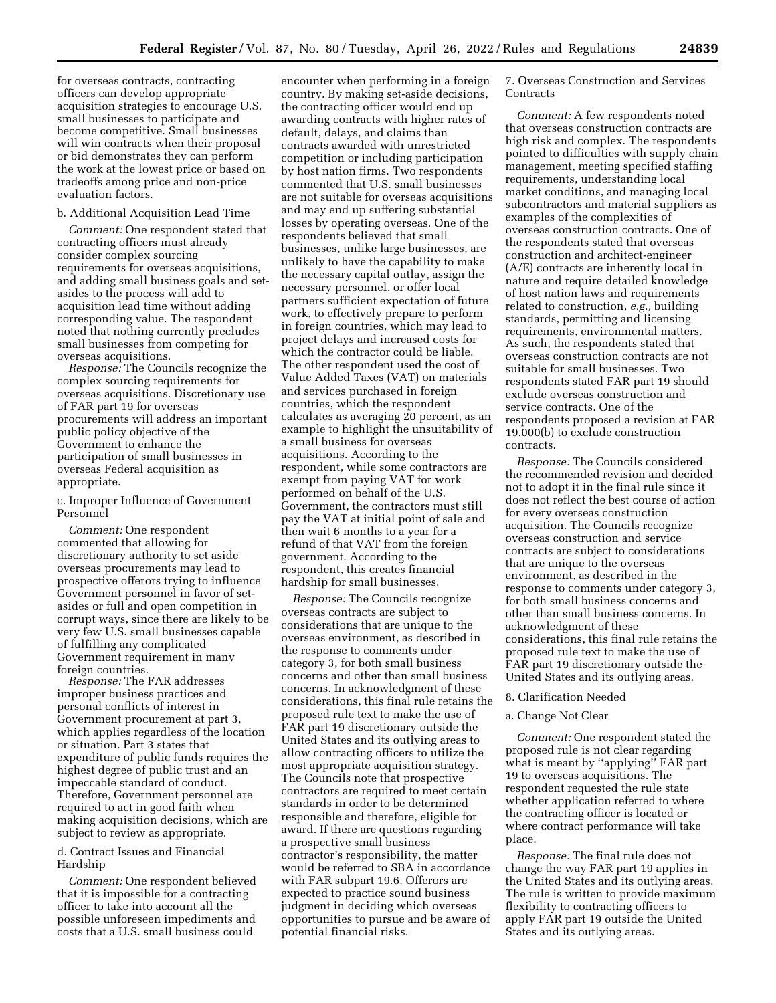for overseas contracts, contracting officers can develop appropriate acquisition strategies to encourage U.S. small businesses to participate and become competitive. Small businesses will win contracts when their proposal or bid demonstrates they can perform the work at the lowest price or based on tradeoffs among price and non-price evaluation factors.

### b. Additional Acquisition Lead Time

*Comment:* One respondent stated that contracting officers must already consider complex sourcing requirements for overseas acquisitions, and adding small business goals and setasides to the process will add to acquisition lead time without adding corresponding value. The respondent noted that nothing currently precludes small businesses from competing for overseas acquisitions.

*Response:* The Councils recognize the complex sourcing requirements for overseas acquisitions. Discretionary use of FAR part 19 for overseas procurements will address an important public policy objective of the Government to enhance the participation of small businesses in overseas Federal acquisition as appropriate.

c. Improper Influence of Government Personnel

*Comment:* One respondent commented that allowing for discretionary authority to set aside overseas procurements may lead to prospective offerors trying to influence Government personnel in favor of setasides or full and open competition in corrupt ways, since there are likely to be very few U.S. small businesses capable of fulfilling any complicated Government requirement in many foreign countries.

*Response:* The FAR addresses improper business practices and personal conflicts of interest in Government procurement at part 3, which applies regardless of the location or situation. Part 3 states that expenditure of public funds requires the highest degree of public trust and an impeccable standard of conduct. Therefore, Government personnel are required to act in good faith when making acquisition decisions, which are subject to review as appropriate.

## d. Contract Issues and Financial Hardship

*Comment:* One respondent believed that it is impossible for a contracting officer to take into account all the possible unforeseen impediments and costs that a U.S. small business could

encounter when performing in a foreign country. By making set-aside decisions, the contracting officer would end up awarding contracts with higher rates of default, delays, and claims than contracts awarded with unrestricted competition or including participation by host nation firms. Two respondents commented that U.S. small businesses are not suitable for overseas acquisitions and may end up suffering substantial losses by operating overseas. One of the respondents believed that small businesses, unlike large businesses, are unlikely to have the capability to make the necessary capital outlay, assign the necessary personnel, or offer local partners sufficient expectation of future work, to effectively prepare to perform in foreign countries, which may lead to project delays and increased costs for which the contractor could be liable. The other respondent used the cost of Value Added Taxes (VAT) on materials and services purchased in foreign countries, which the respondent calculates as averaging 20 percent, as an example to highlight the unsuitability of a small business for overseas acquisitions. According to the respondent, while some contractors are exempt from paying VAT for work performed on behalf of the U.S. Government, the contractors must still pay the VAT at initial point of sale and then wait 6 months to a year for a refund of that VAT from the foreign government. According to the respondent, this creates financial hardship for small businesses.

*Response:* The Councils recognize overseas contracts are subject to considerations that are unique to the overseas environment, as described in the response to comments under category 3, for both small business concerns and other than small business concerns. In acknowledgment of these considerations, this final rule retains the proposed rule text to make the use of FAR part 19 discretionary outside the United States and its outlying areas to allow contracting officers to utilize the most appropriate acquisition strategy. The Councils note that prospective contractors are required to meet certain standards in order to be determined responsible and therefore, eligible for award. If there are questions regarding a prospective small business contractor's responsibility, the matter would be referred to SBA in accordance with FAR subpart 19.6. Offerors are expected to practice sound business judgment in deciding which overseas opportunities to pursue and be aware of potential financial risks.

7. Overseas Construction and Services **Contracts** 

*Comment:* A few respondents noted that overseas construction contracts are high risk and complex. The respondents pointed to difficulties with supply chain management, meeting specified staffing requirements, understanding local market conditions, and managing local subcontractors and material suppliers as examples of the complexities of overseas construction contracts. One of the respondents stated that overseas construction and architect-engineer (A/E) contracts are inherently local in nature and require detailed knowledge of host nation laws and requirements related to construction, *e.g.,* building standards, permitting and licensing requirements, environmental matters. As such, the respondents stated that overseas construction contracts are not suitable for small businesses. Two respondents stated FAR part 19 should exclude overseas construction and service contracts. One of the respondents proposed a revision at FAR 19.000(b) to exclude construction contracts.

*Response:* The Councils considered the recommended revision and decided not to adopt it in the final rule since it does not reflect the best course of action for every overseas construction acquisition. The Councils recognize overseas construction and service contracts are subject to considerations that are unique to the overseas environment, as described in the response to comments under category 3, for both small business concerns and other than small business concerns. In acknowledgment of these considerations, this final rule retains the proposed rule text to make the use of FAR part 19 discretionary outside the United States and its outlying areas.

#### 8. Clarification Needed

## a. Change Not Clear

*Comment:* One respondent stated the proposed rule is not clear regarding what is meant by "applying" FAR part 19 to overseas acquisitions. The respondent requested the rule state whether application referred to where the contracting officer is located or where contract performance will take place.

*Response:* The final rule does not change the way FAR part 19 applies in the United States and its outlying areas. The rule is written to provide maximum flexibility to contracting officers to apply FAR part 19 outside the United States and its outlying areas.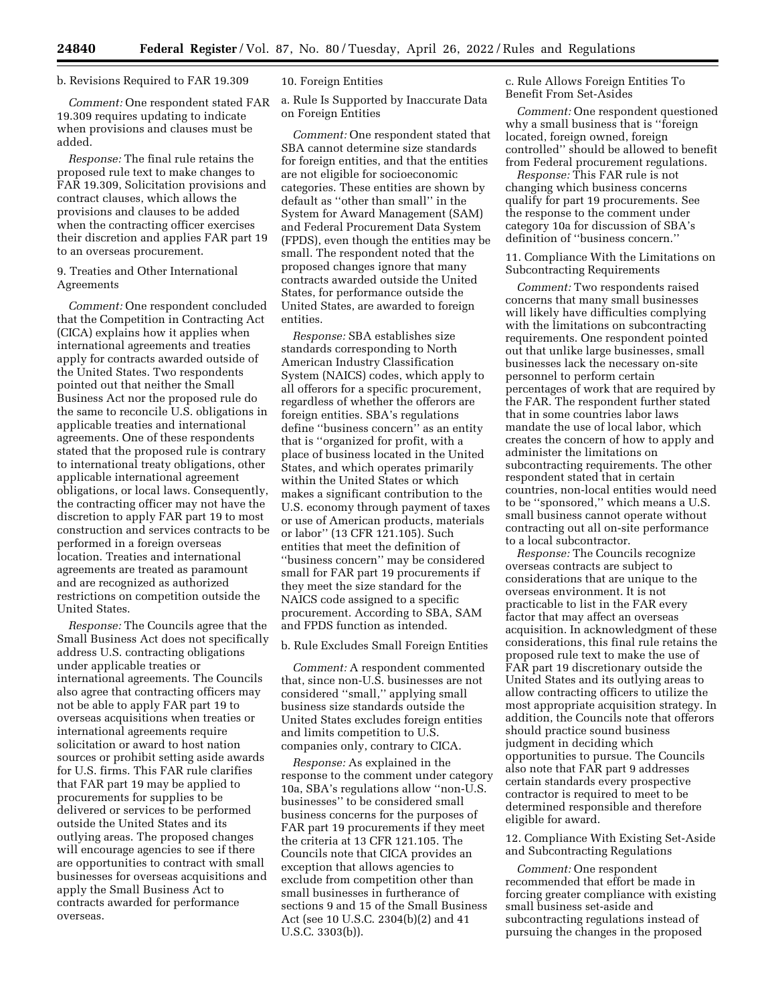#### b. Revisions Required to FAR 19.309

*Comment:* One respondent stated FAR 19.309 requires updating to indicate when provisions and clauses must be added.

*Response:* The final rule retains the proposed rule text to make changes to FAR 19.309, Solicitation provisions and contract clauses, which allows the provisions and clauses to be added when the contracting officer exercises their discretion and applies FAR part 19 to an overseas procurement.

# 9. Treaties and Other International Agreements

*Comment:* One respondent concluded that the Competition in Contracting Act (CICA) explains how it applies when international agreements and treaties apply for contracts awarded outside of the United States. Two respondents pointed out that neither the Small Business Act nor the proposed rule do the same to reconcile U.S. obligations in applicable treaties and international agreements. One of these respondents stated that the proposed rule is contrary to international treaty obligations, other applicable international agreement obligations, or local laws. Consequently, the contracting officer may not have the discretion to apply FAR part 19 to most construction and services contracts to be performed in a foreign overseas location. Treaties and international agreements are treated as paramount and are recognized as authorized restrictions on competition outside the United States.

*Response:* The Councils agree that the Small Business Act does not specifically address U.S. contracting obligations under applicable treaties or international agreements. The Councils also agree that contracting officers may not be able to apply FAR part 19 to overseas acquisitions when treaties or international agreements require solicitation or award to host nation sources or prohibit setting aside awards for U.S. firms. This FAR rule clarifies that FAR part 19 may be applied to procurements for supplies to be delivered or services to be performed outside the United States and its outlying areas. The proposed changes will encourage agencies to see if there are opportunities to contract with small businesses for overseas acquisitions and apply the Small Business Act to contracts awarded for performance overseas.

#### 10. Foreign Entities

a. Rule Is Supported by Inaccurate Data on Foreign Entities

*Comment:* One respondent stated that SBA cannot determine size standards for foreign entities, and that the entities are not eligible for socioeconomic categories. These entities are shown by default as ''other than small'' in the System for Award Management (SAM) and Federal Procurement Data System (FPDS), even though the entities may be small. The respondent noted that the proposed changes ignore that many contracts awarded outside the United States, for performance outside the United States, are awarded to foreign entities.

*Response:* SBA establishes size standards corresponding to North American Industry Classification System (NAICS) codes, which apply to all offerors for a specific procurement, regardless of whether the offerors are foreign entities. SBA's regulations define ''business concern'' as an entity that is ''organized for profit, with a place of business located in the United States, and which operates primarily within the United States or which makes a significant contribution to the U.S. economy through payment of taxes or use of American products, materials or labor'' (13 CFR 121.105). Such entities that meet the definition of ''business concern'' may be considered small for FAR part 19 procurements if they meet the size standard for the NAICS code assigned to a specific procurement. According to SBA, SAM and FPDS function as intended.

## b. Rule Excludes Small Foreign Entities

*Comment:* A respondent commented that, since non-U.S. businesses are not considered ''small,'' applying small business size standards outside the United States excludes foreign entities and limits competition to U.S. companies only, contrary to CICA.

*Response:* As explained in the response to the comment under category 10a, SBA's regulations allow ''non-U.S. businesses'' to be considered small business concerns for the purposes of FAR part 19 procurements if they meet the criteria at 13 CFR 121.105. The Councils note that CICA provides an exception that allows agencies to exclude from competition other than small businesses in furtherance of sections 9 and 15 of the Small Business Act (see 10 U.S.C. 2304(b)(2) and 41 U.S.C. 3303(b)).

c. Rule Allows Foreign Entities To Benefit From Set-Asides

*Comment:* One respondent questioned why a small business that is ''foreign located, foreign owned, foreign controlled'' should be allowed to benefit from Federal procurement regulations.

*Response:* This FAR rule is not changing which business concerns qualify for part 19 procurements. See the response to the comment under category 10a for discussion of SBA's definition of ''business concern.''

11. Compliance With the Limitations on Subcontracting Requirements

*Comment:* Two respondents raised concerns that many small businesses will likely have difficulties complying with the limitations on subcontracting requirements. One respondent pointed out that unlike large businesses, small businesses lack the necessary on-site personnel to perform certain percentages of work that are required by the FAR. The respondent further stated that in some countries labor laws mandate the use of local labor, which creates the concern of how to apply and administer the limitations on subcontracting requirements. The other respondent stated that in certain countries, non-local entities would need to be ''sponsored,'' which means a U.S. small business cannot operate without contracting out all on-site performance to a local subcontractor.

*Response:* The Councils recognize overseas contracts are subject to considerations that are unique to the overseas environment. It is not practicable to list in the FAR every factor that may affect an overseas acquisition. In acknowledgment of these considerations, this final rule retains the proposed rule text to make the use of FAR part 19 discretionary outside the United States and its outlying areas to allow contracting officers to utilize the most appropriate acquisition strategy. In addition, the Councils note that offerors should practice sound business judgment in deciding which opportunities to pursue. The Councils also note that FAR part 9 addresses certain standards every prospective contractor is required to meet to be determined responsible and therefore eligible for award.

12. Compliance With Existing Set-Aside and Subcontracting Regulations

*Comment:* One respondent recommended that effort be made in forcing greater compliance with existing small business set-aside and subcontracting regulations instead of pursuing the changes in the proposed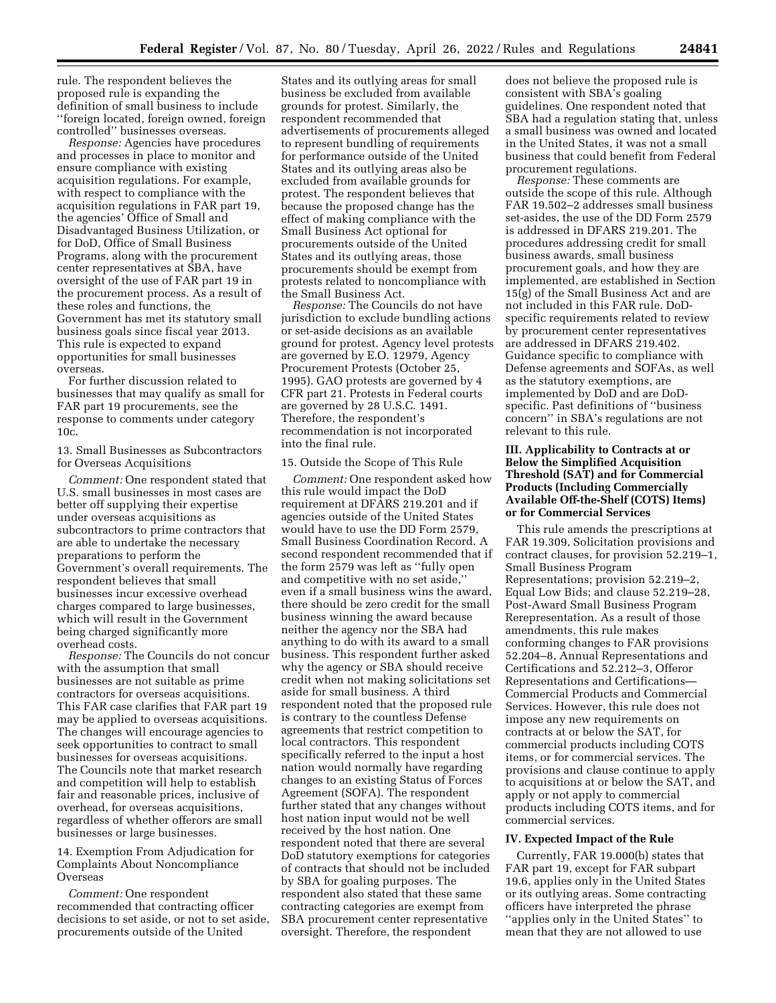rule. The respondent believes the proposed rule is expanding the definition of small business to include ''foreign located, foreign owned, foreign controlled'' businesses overseas.

*Response:* Agencies have procedures and processes in place to monitor and ensure compliance with existing acquisition regulations. For example, with respect to compliance with the acquisition regulations in FAR part 19, the agencies' Office of Small and Disadvantaged Business Utilization, or for DoD, Office of Small Business Programs, along with the procurement center representatives at SBA, have oversight of the use of FAR part 19 in the procurement process. As a result of these roles and functions, the Government has met its statutory small business goals since fiscal year 2013. This rule is expected to expand opportunities for small businesses overseas.

For further discussion related to businesses that may qualify as small for FAR part 19 procurements, see the response to comments under category 10c.

13. Small Businesses as Subcontractors for Overseas Acquisitions

*Comment:* One respondent stated that U.S. small businesses in most cases are better off supplying their expertise under overseas acquisitions as subcontractors to prime contractors that are able to undertake the necessary preparations to perform the Government's overall requirements. The respondent believes that small businesses incur excessive overhead charges compared to large businesses, which will result in the Government being charged significantly more overhead costs.

*Response:* The Councils do not concur with the assumption that small businesses are not suitable as prime contractors for overseas acquisitions. This FAR case clarifies that FAR part 19 may be applied to overseas acquisitions. The changes will encourage agencies to seek opportunities to contract to small businesses for overseas acquisitions. The Councils note that market research and competition will help to establish fair and reasonable prices, inclusive of overhead, for overseas acquisitions, regardless of whether offerors are small businesses or large businesses.

14. Exemption From Adjudication for Complaints About Noncompliance Overseas

*Comment:* One respondent recommended that contracting officer decisions to set aside, or not to set aside, procurements outside of the United

States and its outlying areas for small business be excluded from available grounds for protest. Similarly, the respondent recommended that advertisements of procurements alleged to represent bundling of requirements for performance outside of the United States and its outlying areas also be excluded from available grounds for protest. The respondent believes that because the proposed change has the effect of making compliance with the Small Business Act optional for procurements outside of the United States and its outlying areas, those procurements should be exempt from protests related to noncompliance with the Small Business Act.

*Response:* The Councils do not have jurisdiction to exclude bundling actions or set-aside decisions as an available ground for protest. Agency level protests are governed by E.O. 12979, Agency Procurement Protests (October 25, 1995). GAO protests are governed by 4 CFR part 21. Protests in Federal courts are governed by 28 U.S.C. 1491. Therefore, the respondent's recommendation is not incorporated into the final rule.

#### 15. Outside the Scope of This Rule

*Comment:* One respondent asked how this rule would impact the DoD requirement at DFARS 219.201 and if agencies outside of the United States would have to use the DD Form 2579, Small Business Coordination Record. A second respondent recommended that if the form 2579 was left as ''fully open and competitive with no set aside,'' even if a small business wins the award, there should be zero credit for the small business winning the award because neither the agency nor the SBA had anything to do with its award to a small business. This respondent further asked why the agency or SBA should receive credit when not making solicitations set aside for small business. A third respondent noted that the proposed rule is contrary to the countless Defense agreements that restrict competition to local contractors. This respondent specifically referred to the input a host nation would normally have regarding changes to an existing Status of Forces Agreement (SOFA). The respondent further stated that any changes without host nation input would not be well received by the host nation. One respondent noted that there are several DoD statutory exemptions for categories of contracts that should not be included by SBA for goaling purposes. The respondent also stated that these same contracting categories are exempt from SBA procurement center representative oversight. Therefore, the respondent

does not believe the proposed rule is consistent with SBA's goaling guidelines. One respondent noted that SBA had a regulation stating that, unless a small business was owned and located in the United States, it was not a small business that could benefit from Federal procurement regulations.

*Response:* These comments are outside the scope of this rule. Although FAR 19.502–2 addresses small business set-asides, the use of the DD Form 2579 is addressed in DFARS 219.201. The procedures addressing credit for small business awards, small business procurement goals, and how they are implemented, are established in Section 15(g) of the Small Business Act and are not included in this FAR rule. DoDspecific requirements related to review by procurement center representatives are addressed in DFARS 219.402. Guidance specific to compliance with Defense agreements and SOFAs, as well as the statutory exemptions, are implemented by DoD and are DoDspecific. Past definitions of ''business concern'' in SBA's regulations are not relevant to this rule.

## **III. Applicability to Contracts at or Below the Simplified Acquisition Threshold (SAT) and for Commercial Products (Including Commercially Available Off-the-Shelf (COTS) Items) or for Commercial Services**

This rule amends the prescriptions at FAR 19.309, Solicitation provisions and contract clauses, for provision 52.219–1, Small Business Program Representations; provision 52.219–2, Equal Low Bids; and clause 52.219–28, Post-Award Small Business Program Rerepresentation. As a result of those amendments, this rule makes conforming changes to FAR provisions 52.204–8, Annual Representations and Certifications and 52.212–3, Offeror Representations and Certifications— Commercial Products and Commercial Services. However, this rule does not impose any new requirements on contracts at or below the SAT, for commercial products including COTS items, or for commercial services. The provisions and clause continue to apply to acquisitions at or below the SAT, and apply or not apply to commercial products including COTS items, and for commercial services.

#### **IV. Expected Impact of the Rule**

Currently, FAR 19.000(b) states that FAR part 19, except for FAR subpart 19.6, applies only in the United States or its outlying areas. Some contracting officers have interpreted the phrase ''applies only in the United States'' to mean that they are not allowed to use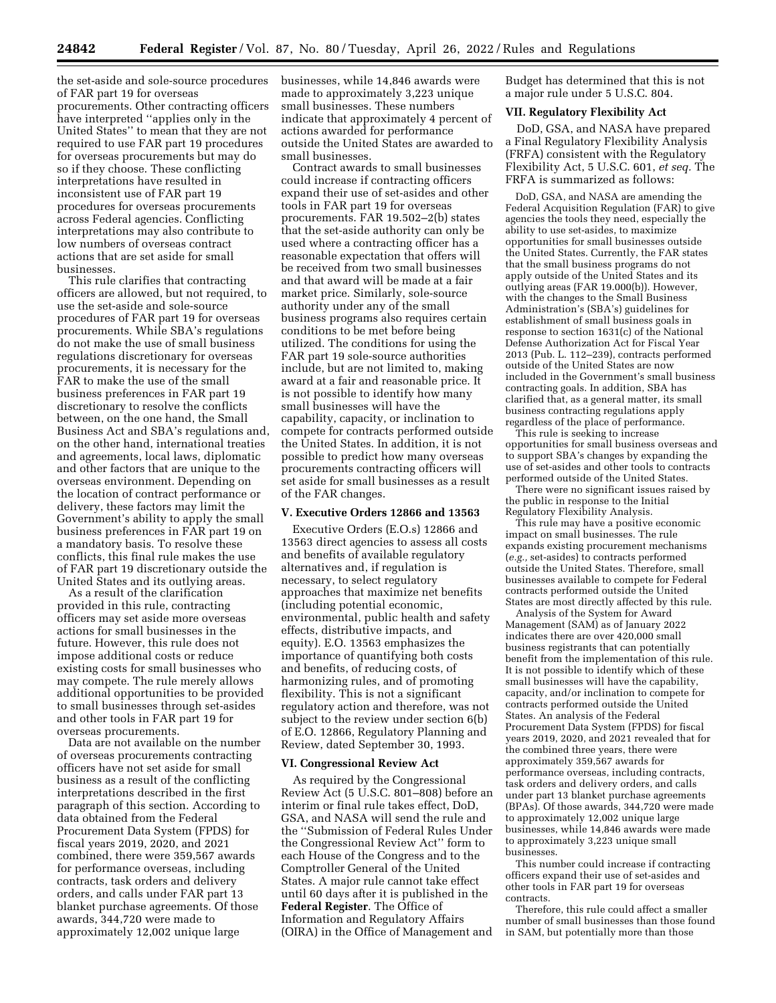the set-aside and sole-source procedures of FAR part 19 for overseas procurements. Other contracting officers have interpreted ''applies only in the United States'' to mean that they are not required to use FAR part 19 procedures for overseas procurements but may do so if they choose. These conflicting interpretations have resulted in inconsistent use of FAR part 19 procedures for overseas procurements across Federal agencies. Conflicting interpretations may also contribute to low numbers of overseas contract actions that are set aside for small businesses.

This rule clarifies that contracting officers are allowed, but not required, to use the set-aside and sole-source procedures of FAR part 19 for overseas procurements. While SBA's regulations do not make the use of small business regulations discretionary for overseas procurements, it is necessary for the FAR to make the use of the small business preferences in FAR part 19 discretionary to resolve the conflicts between, on the one hand, the Small Business Act and SBA's regulations and, on the other hand, international treaties and agreements, local laws, diplomatic and other factors that are unique to the overseas environment. Depending on the location of contract performance or delivery, these factors may limit the Government's ability to apply the small business preferences in FAR part 19 on a mandatory basis. To resolve these conflicts, this final rule makes the use of FAR part 19 discretionary outside the United States and its outlying areas.

As a result of the clarification provided in this rule, contracting officers may set aside more overseas actions for small businesses in the future. However, this rule does not impose additional costs or reduce existing costs for small businesses who may compete. The rule merely allows additional opportunities to be provided to small businesses through set-asides and other tools in FAR part 19 for overseas procurements.

Data are not available on the number of overseas procurements contracting officers have not set aside for small business as a result of the conflicting interpretations described in the first paragraph of this section. According to data obtained from the Federal Procurement Data System (FPDS) for fiscal years 2019, 2020, and 2021 combined, there were 359,567 awards for performance overseas, including contracts, task orders and delivery orders, and calls under FAR part 13 blanket purchase agreements. Of those awards, 344,720 were made to approximately 12,002 unique large

businesses, while 14,846 awards were made to approximately 3,223 unique small businesses. These numbers indicate that approximately 4 percent of actions awarded for performance outside the United States are awarded to small businesses.

Contract awards to small businesses could increase if contracting officers expand their use of set-asides and other tools in FAR part 19 for overseas procurements. FAR 19.502–2(b) states that the set-aside authority can only be used where a contracting officer has a reasonable expectation that offers will be received from two small businesses and that award will be made at a fair market price. Similarly, sole-source authority under any of the small business programs also requires certain conditions to be met before being utilized. The conditions for using the FAR part 19 sole-source authorities include, but are not limited to, making award at a fair and reasonable price. It is not possible to identify how many small businesses will have the capability, capacity, or inclination to compete for contracts performed outside the United States. In addition, it is not possible to predict how many overseas procurements contracting officers will set aside for small businesses as a result of the FAR changes.

## **V. Executive Orders 12866 and 13563**

Executive Orders (E.O.s) 12866 and 13563 direct agencies to assess all costs and benefits of available regulatory alternatives and, if regulation is necessary, to select regulatory approaches that maximize net benefits (including potential economic, environmental, public health and safety effects, distributive impacts, and equity). E.O. 13563 emphasizes the importance of quantifying both costs and benefits, of reducing costs, of harmonizing rules, and of promoting flexibility. This is not a significant regulatory action and therefore, was not subject to the review under section 6(b) of E.O. 12866, Regulatory Planning and Review, dated September 30, 1993.

#### **VI. Congressional Review Act**

As required by the Congressional Review Act (5 U.S.C. 801–808) before an interim or final rule takes effect, DoD, GSA, and NASA will send the rule and the ''Submission of Federal Rules Under the Congressional Review Act'' form to each House of the Congress and to the Comptroller General of the United States. A major rule cannot take effect until 60 days after it is published in the **Federal Register**. The Office of Information and Regulatory Affairs (OIRA) in the Office of Management and Budget has determined that this is not a major rule under 5 U.S.C. 804.

## **VII. Regulatory Flexibility Act**

DoD, GSA, and NASA have prepared a Final Regulatory Flexibility Analysis (FRFA) consistent with the Regulatory Flexibility Act, 5 U.S.C. 601, *et seq.* The FRFA is summarized as follows:

DoD, GSA, and NASA are amending the Federal Acquisition Regulation (FAR) to give agencies the tools they need, especially the ability to use set-asides, to maximize opportunities for small businesses outside the United States. Currently, the FAR states that the small business programs do not apply outside of the United States and its outlying areas (FAR 19.000(b)). However, with the changes to the Small Business Administration's (SBA's) guidelines for establishment of small business goals in response to section 1631(c) of the National Defense Authorization Act for Fiscal Year 2013 (Pub. L. 112–239), contracts performed outside of the United States are now included in the Government's small business contracting goals. In addition, SBA has clarified that, as a general matter, its small business contracting regulations apply regardless of the place of performance.

This rule is seeking to increase opportunities for small business overseas and to support SBA's changes by expanding the use of set-asides and other tools to contracts performed outside of the United States.

There were no significant issues raised by the public in response to the Initial Regulatory Flexibility Analysis.

This rule may have a positive economic impact on small businesses. The rule expands existing procurement mechanisms (*e.g.,* set-asides) to contracts performed outside the United States. Therefore, small businesses available to compete for Federal contracts performed outside the United States are most directly affected by this rule.

Analysis of the System for Award Management (SAM) as of January 2022 indicates there are over 420,000 small business registrants that can potentially benefit from the implementation of this rule. It is not possible to identify which of these small businesses will have the capability, capacity, and/or inclination to compete for contracts performed outside the United States. An analysis of the Federal Procurement Data System (FPDS) for fiscal years 2019, 2020, and 2021 revealed that for the combined three years, there were approximately 359,567 awards for performance overseas, including contracts, task orders and delivery orders, and calls under part 13 blanket purchase agreements (BPAs). Of those awards, 344,720 were made to approximately 12,002 unique large businesses, while 14,846 awards were made to approximately 3,223 unique small businesses.

This number could increase if contracting officers expand their use of set-asides and other tools in FAR part 19 for overseas contracts.

Therefore, this rule could affect a smaller number of small businesses than those found in SAM, but potentially more than those